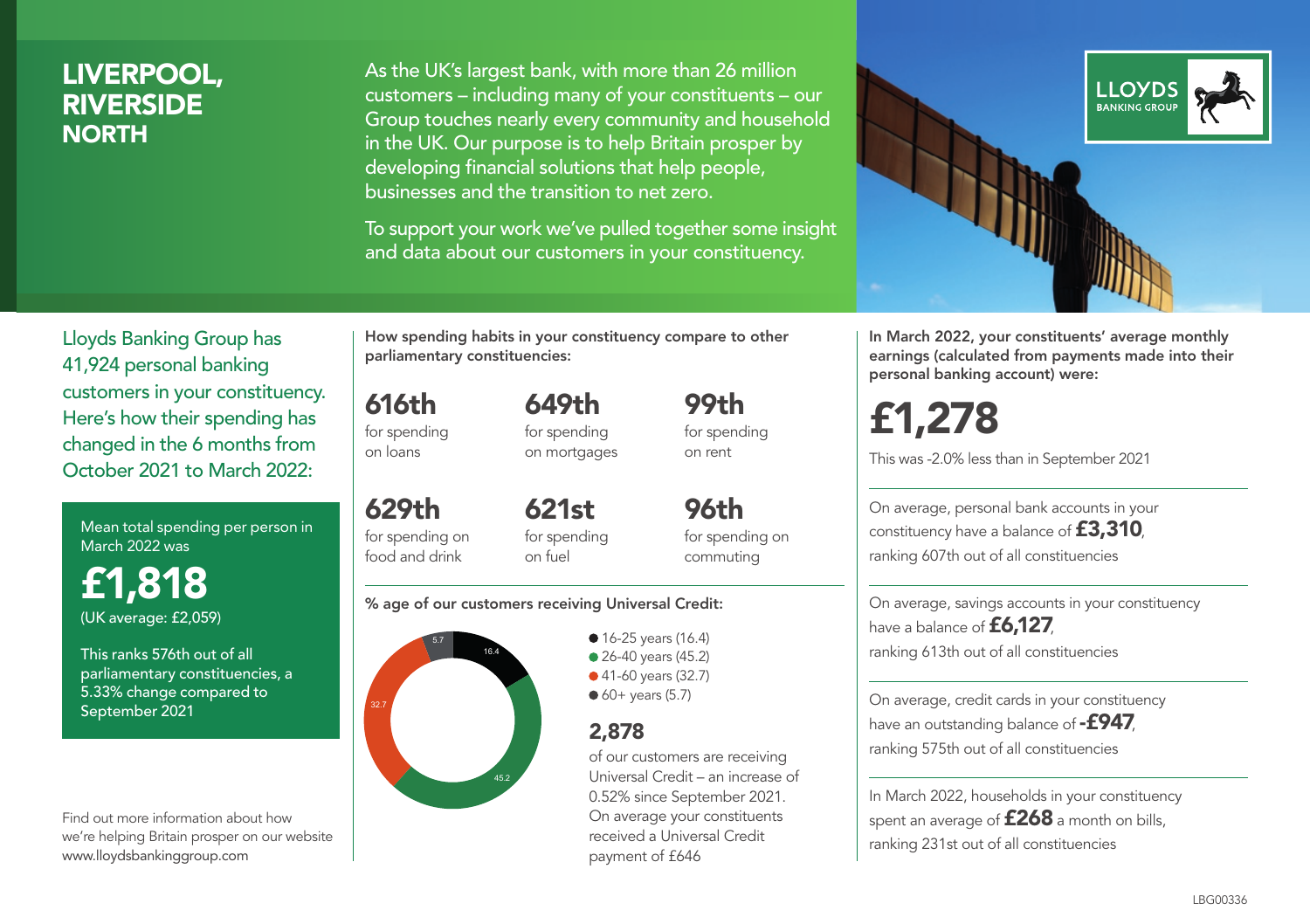### LIVERPOOL, RIVERSIDE **NORTH**

As the UK's largest bank, with more than 26 million customers – including many of your constituents – our Group touches nearly every community and household in the UK. Our purpose is to help Britain prosper by developing financial solutions that help people, businesses and the transition to net zero.

To support your work we've pulled together some insight and data about our customers in your constituency.



In March 2022, your constituents' average monthly earnings (calculated from payments made into their personal banking account) were:

£1,278

This was -2.0% less than in September 2021

On average, personal bank accounts in your constituency have a balance of £3,310, ranking 607th out of all constituencies

On average, savings accounts in your constituency have a balance of **£6,127** ranking 613th out of all constituencies

On average, credit cards in your constituency have an outstanding balance of  $-$ £947, ranking 575th out of all constituencies

In March 2022, households in your constituency spent an average of **£268** a month on bills, ranking 231st out of all constituencies

Lloyds Banking Group has 41,924 personal banking customers in your constituency. Here's how their spending has changed in the 6 months from October 2021 to March 2022:

Mean total spending per person in March 2022 was

£1,818 (UK average: £2,059)

This ranks 576th out of all parliamentary constituencies, a 5.33% change compared to September 2021

Find out more information about how we're helping Britain prosper on our website www.lloydsbankinggroup.com

How spending habits in your constituency compare to other parliamentary constituencies:

649th

616th for spending on loans

for spending on mortgages

629th for spending on food and drink 621st for spending on fuel

for spending on commuting

99th for spending on rent

96th

#### % age of our customers receiving Universal Credit:



• 16-25 years (16.4) ● 26-40 years (45.2) ● 41-60 years (32.7)  $60+$  years (5.7)

### 2,878

of our customers are receiving Universal Credit – an increase of 0.52% since September 2021. On average your constituents received a Universal Credit payment of £646